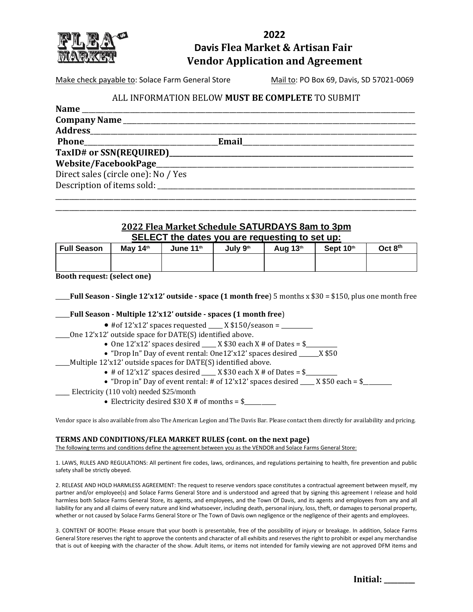

# **2022 Davis Flea Market & Artisan Fair Vendor Application and Agreement**

Make check payable to: Solace Farm General Store Mail to: PO Box 69, Davis, SD 57021-0069

### ALL INFORMATION BELOW **MUST BE COMPLETE** TO SUBMIT

| <b>Name</b>                         |  |
|-------------------------------------|--|
| Company Name                        |  |
|                                     |  |
|                                     |  |
|                                     |  |
|                                     |  |
| Direct sales (circle one): No / Yes |  |
|                                     |  |

## **2022 Flea Market Schedule SATURDAYS 8am to 3pm SELECT the dates you are requesting to set up:**

\_\_\_\_\_\_\_\_\_\_\_\_\_\_\_\_\_\_\_\_\_\_\_\_\_\_\_\_\_\_\_\_\_\_\_\_\_\_\_\_\_\_\_\_\_\_\_\_\_\_\_\_\_\_\_\_\_\_\_\_\_\_\_\_\_\_\_\_\_\_\_\_\_\_\_\_\_\_\_\_\_\_\_\_\_\_\_\_\_\_\_\_\_\_\_\_\_\_\_\_\_\_\_\_\_ \_\_\_\_\_\_\_\_\_\_\_\_\_\_\_\_\_\_\_\_\_\_\_\_\_\_\_\_\_\_\_\_\_\_\_\_\_\_\_\_\_\_\_\_\_\_\_\_\_\_\_\_\_\_\_\_\_\_\_\_\_\_\_\_\_\_\_\_\_\_\_\_\_\_\_\_\_\_\_\_\_\_\_\_\_\_\_\_\_\_\_\_\_\_\_\_\_\_\_\_\_\_\_\_\_

| <b>Full Season</b> | May 14th | June 11th | July 9th | Aug 13th | Sept 10th | Oct 8 <sup>th</sup> |
|--------------------|----------|-----------|----------|----------|-----------|---------------------|
|                    |          |           |          |          |           |                     |
|                    |          |           |          |          |           |                     |

**Booth request: (select one)**

| <b>_Full Season - Single 12'x12' outside - space (1 month free)</b> 5 months x \$30 = \$150, plus one month free |
|------------------------------------------------------------------------------------------------------------------|
|------------------------------------------------------------------------------------------------------------------|

#### \_\_\_\_\_**Full Season - Multiple 12'x12' outside - spaces (1 month free**)

- $\bullet$  #of 12'x12' spaces requested  $X $150$ /season =
- \_\_\_\_\_One 12'x12' outside space for DATE(S) identified above.
	- One 12'x12' spaces desired \_\_\_\_\_ X \$30 each X # of Dates = \$\_\_\_\_\_\_\_\_\_\_\_
	- "Drop In" Day of event rental: One12'x12' spaces desired \_\_\_\_\_\_\_X \$50
- $\mu$  Multiple 12'x12' outside spaces for DATE(S) identified above.
	- # of  $12'x12'$  spaces desired \_\_\_\_\_\_ X  $$30$  each X # of Dates =  $$$
	- "Drop in" Day of event rental: # of  $12'x12'$  spaces desired \_\_\_\_ X  $$50$  each = \$\_\_\_\_\_\_\_
- \_\_\_ Electricity (110 volt) needed \$25/month
	- Electricity desired  $$30 X # of months = $$

Vendor space is also available from also The American Legion and The Davis Bar. Please contact them directly for availability and pricing.

#### **TERMS AND CONDITIONS/FLEA MARKET RULES (cont. on the next page)**

The following terms and conditions define the agreement between you as the VENDOR and Solace Farms General Store:

1. LAWS, RULES AND REGULATIONS: All pertinent fire codes, laws, ordinances, and regulations pertaining to health, fire prevention and public safety shall be strictly obeyed.

2. RELEASE AND HOLD HARMLESS AGREEMENT: The request to reserve vendors space constitutes a contractual agreement between myself, my partner and/or employee(s) and Solace Farms General Store and is understood and agreed that by signing this agreement I release and hold harmless both Solace Farms General Store, its agents, and employees, and the Town Of Davis, and its agents and employees from any and all liability for any and all claims of every nature and kind whatsoever, including death, personal injury, loss, theft, or damages to personal property, whether or not caused by Solace Farms General Store or The Town of Davis own negligence or the negligence of their agents and employees.

3. CONTENT OF BOOTH: Please ensure that your booth is presentable, free of the possibility of injury or breakage. In addition, Solace Farms General Store reserves the right to approve the contents and character of all exhibits and reserves the right to prohibit or expel any merchandise that is out of keeping with the character of the show. Adult items, or items not intended for family viewing are not approved DFM items and

|  | Initial: |  |
|--|----------|--|
|--|----------|--|